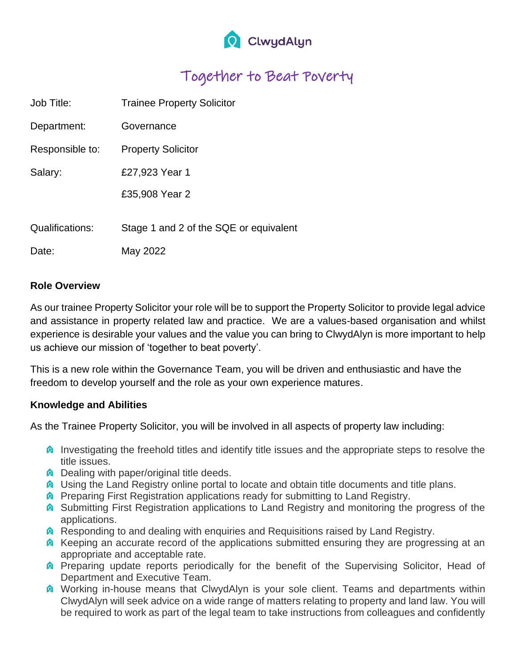

## Together to Beat Poverty

| Job Title:      | <b>Trainee Property Solicitor</b>      |
|-----------------|----------------------------------------|
| Department:     | Governance                             |
| Responsible to: | <b>Property Solicitor</b>              |
| Salary:         | £27,923 Year 1                         |
|                 | £35,908 Year 2                         |
|                 |                                        |
| Qualifications: | Stage 1 and 2 of the SQE or equivalent |
| Date:           | May 2022                               |
|                 |                                        |

## **Role Overview**

As our trainee Property Solicitor your role will be to support the Property Solicitor to provide legal advice and assistance in property related law and practice. We are a values-based organisation and whilst experience is desirable your values and the value you can bring to ClwydAlyn is more important to help us achieve our mission of 'together to beat poverty'.

This is a new role within the Governance Team, you will be driven and enthusiastic and have the freedom to develop yourself and the role as your own experience matures.

## **Knowledge and Abilities**

As the Trainee Property Solicitor, you will be involved in all aspects of property law including:

- **Investigating the freehold titles and identify title issues and the appropriate steps to resolve the** title issues.
- **Q** Dealing with paper/original title deeds.
- **Q** Using the Land Registry online portal to locate and obtain title documents and title plans.
- **A** Preparing First Registration applications ready for submitting to Land Registry.
- **Conditional Submitting First Registration applications to Land Registry and monitoring the progress of the** applications.
- **Responding to and dealing with enquiries and Requisitions raised by Land Registry.**
- **A** Keeping an accurate record of the applications submitted ensuring they are progressing at an appropriate and acceptable rate.
- **A** Preparing update reports periodically for the benefit of the Supervising Solicitor, Head of Department and Executive Team.
- **O** Working in-house means that ClwydAlyn is your sole client. Teams and departments within ClwydAlyn will seek advice on a wide range of matters relating to property and land law. You will be required to work as part of the legal team to take instructions from colleagues and confidently